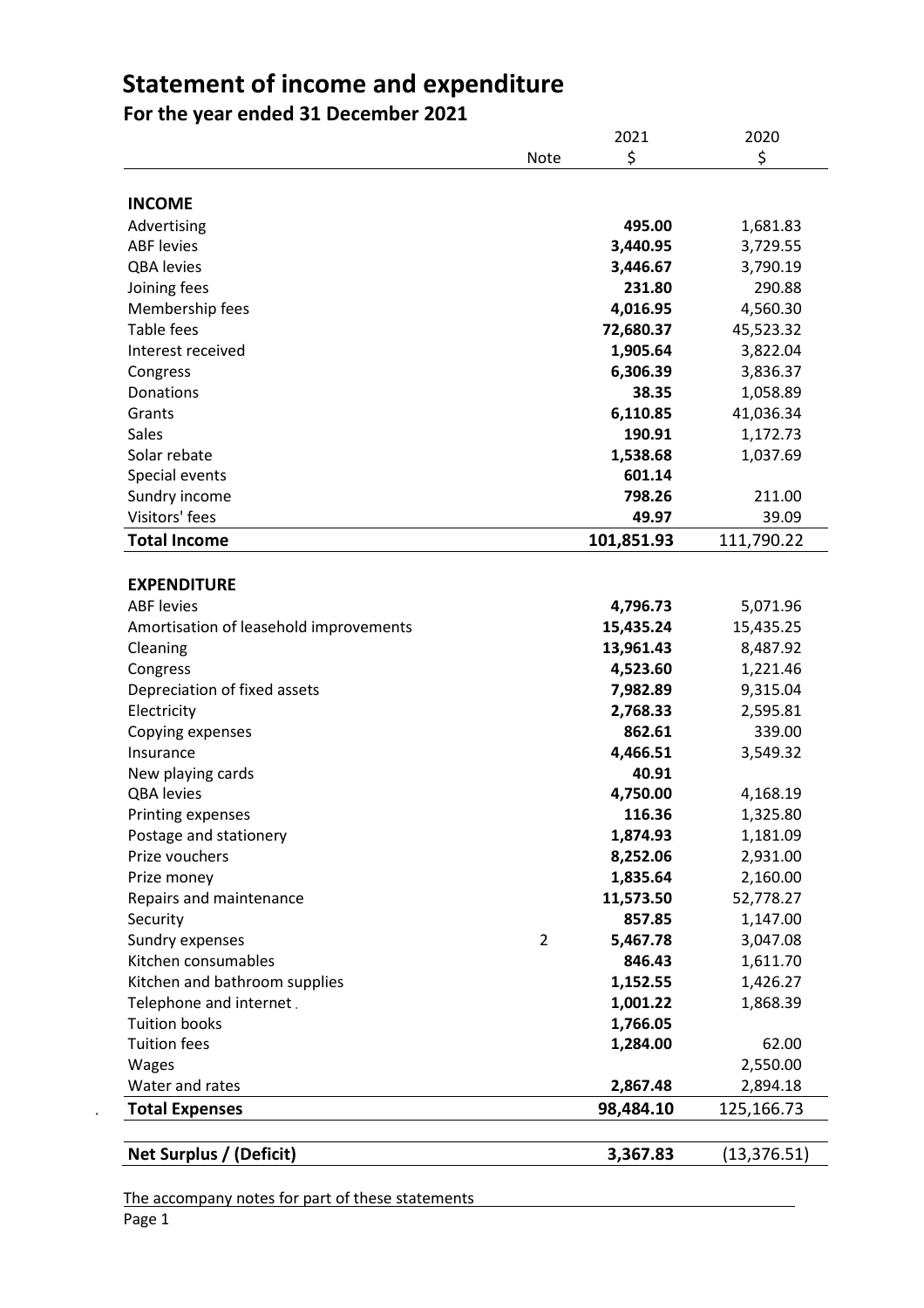## **Statement of income and expenditure**

## **For the year ended 31 December 2021**

|                                        |                | 2021       | 2020         |
|----------------------------------------|----------------|------------|--------------|
|                                        | <b>Note</b>    | \$         | \$           |
|                                        |                |            |              |
| <b>INCOME</b>                          |                |            |              |
| Advertising                            |                | 495.00     | 1,681.83     |
| <b>ABF</b> levies                      |                | 3,440.95   | 3,729.55     |
| <b>QBA levies</b>                      |                | 3,446.67   | 3,790.19     |
| Joining fees                           |                | 231.80     | 290.88       |
| Membership fees                        |                | 4,016.95   | 4,560.30     |
| <b>Table fees</b>                      |                | 72,680.37  | 45,523.32    |
| Interest received                      |                | 1,905.64   | 3,822.04     |
| Congress                               |                | 6,306.39   | 3,836.37     |
| Donations                              |                | 38.35      | 1,058.89     |
| Grants                                 |                | 6,110.85   | 41,036.34    |
| <b>Sales</b>                           |                | 190.91     | 1,172.73     |
| Solar rebate                           |                | 1,538.68   | 1,037.69     |
| Special events                         |                | 601.14     |              |
| Sundry income                          |                | 798.26     | 211.00       |
| Visitors' fees                         |                | 49.97      | 39.09        |
| <b>Total Income</b>                    |                | 101,851.93 | 111,790.22   |
|                                        |                |            |              |
| <b>EXPENDITURE</b>                     |                |            |              |
| <b>ABF</b> levies                      |                | 4,796.73   | 5,071.96     |
| Amortisation of leasehold improvements |                | 15,435.24  | 15,435.25    |
| Cleaning                               |                | 13,961.43  | 8,487.92     |
| Congress                               |                | 4,523.60   | 1,221.46     |
| Depreciation of fixed assets           |                | 7,982.89   | 9,315.04     |
| Electricity                            |                | 2,768.33   | 2,595.81     |
| Copying expenses                       |                | 862.61     | 339.00       |
| Insurance                              |                | 4,466.51   | 3,549.32     |
| New playing cards                      |                | 40.91      |              |
| <b>QBA levies</b>                      |                | 4,750.00   | 4,168.19     |
| Printing expenses                      |                | 116.36     | 1,325.80     |
| Postage and stationery                 |                | 1,874.93   | 1,181.09     |
| Prize vouchers                         |                | 8,252.06   | 2,931.00     |
| Prize money                            |                | 1,835.64   | 2,160.00     |
| Repairs and maintenance                |                | 11,573.50  | 52,778.27    |
| Security                               |                | 857.85     | 1,147.00     |
| Sundry expenses                        | $\overline{2}$ | 5,467.78   | 3,047.08     |
| Kitchen consumables                    |                | 846.43     | 1,611.70     |
| Kitchen and bathroom supplies          |                | 1,152.55   | 1,426.27     |
| Telephone and internet.                |                | 1,001.22   | 1,868.39     |
| <b>Tuition books</b>                   |                | 1,766.05   |              |
| <b>Tuition fees</b>                    |                | 1,284.00   | 62.00        |
| Wages                                  |                |            | 2,550.00     |
| Water and rates                        |                | 2,867.48   | 2,894.18     |
| <b>Total Expenses</b>                  |                | 98,484.10  | 125,166.73   |
|                                        |                |            |              |
| Net Surplus / (Deficit)                |                | 3,367.83   | (13, 376.51) |

The accompany notes for part of these statements Page 1

 $\mathcal{L}^{(1)}$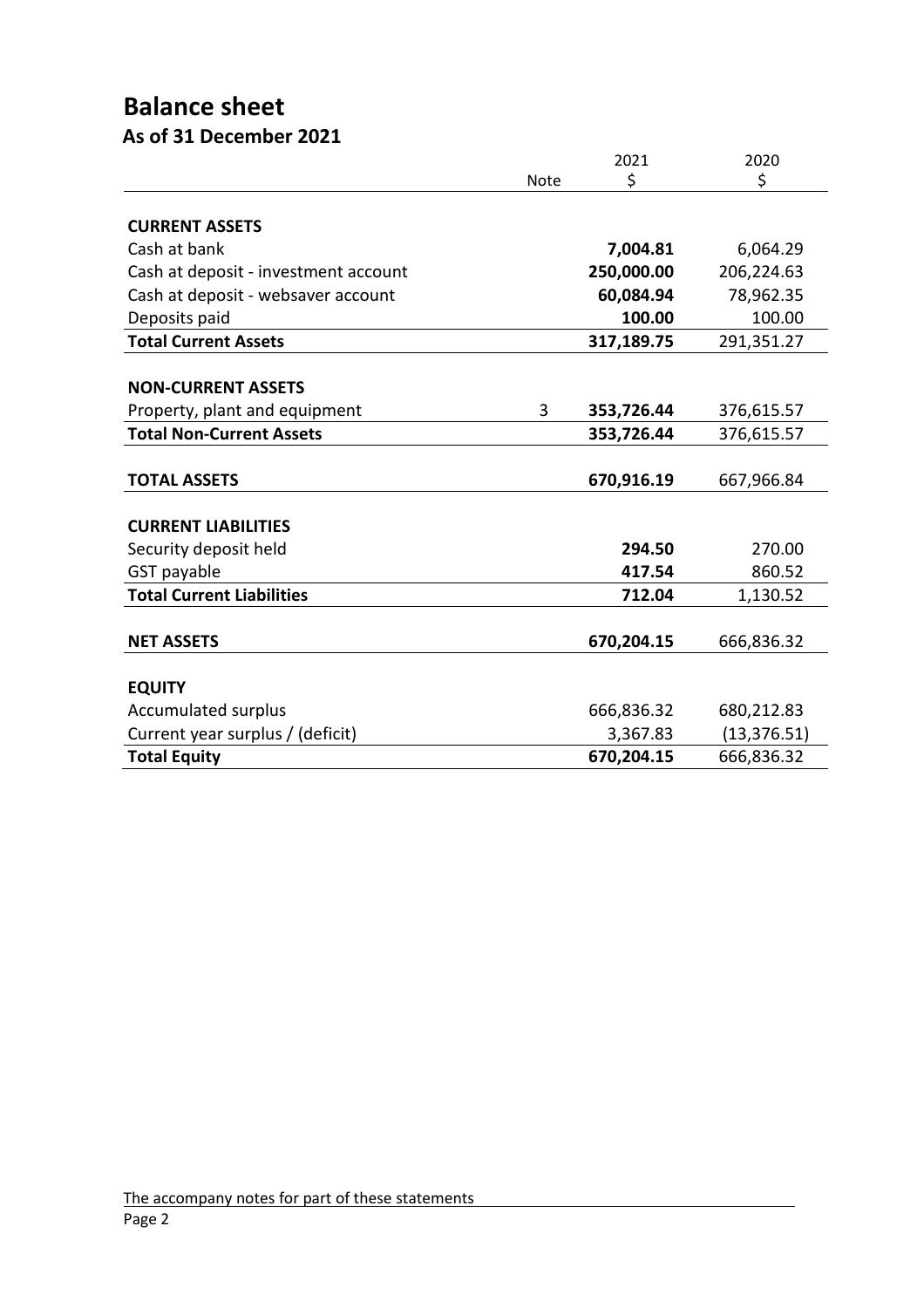## **Balance sheet**

**As of 31 December 2021** 

|                                      |             | 2021       | 2020         |
|--------------------------------------|-------------|------------|--------------|
|                                      | <b>Note</b> | \$         | \$           |
|                                      |             |            |              |
| <b>CURRENT ASSETS</b>                |             |            |              |
| Cash at bank                         |             | 7,004.81   | 6,064.29     |
| Cash at deposit - investment account |             | 250,000.00 | 206,224.63   |
| Cash at deposit - websaver account   |             | 60,084.94  | 78,962.35    |
| Deposits paid                        |             | 100.00     | 100.00       |
| <b>Total Current Assets</b>          |             | 317,189.75 | 291,351.27   |
|                                      |             |            |              |
| <b>NON-CURRENT ASSETS</b>            |             |            |              |
| Property, plant and equipment        | 3           | 353,726.44 | 376,615.57   |
| <b>Total Non-Current Assets</b>      |             | 353,726.44 | 376,615.57   |
|                                      |             |            |              |
| <b>TOTAL ASSETS</b>                  |             | 670,916.19 | 667,966.84   |
|                                      |             |            |              |
| <b>CURRENT LIABILITIES</b>           |             |            |              |
| Security deposit held                |             | 294.50     | 270.00       |
| GST payable                          |             | 417.54     | 860.52       |
| <b>Total Current Liabilities</b>     |             | 712.04     | 1,130.52     |
|                                      |             |            |              |
| <b>NET ASSETS</b>                    |             | 670,204.15 | 666,836.32   |
|                                      |             |            |              |
| <b>EQUITY</b>                        |             |            |              |
| <b>Accumulated surplus</b>           |             | 666,836.32 | 680,212.83   |
| Current year surplus / (deficit)     |             | 3,367.83   | (13, 376.51) |
| <b>Total Equity</b>                  |             | 670,204.15 | 666,836.32   |